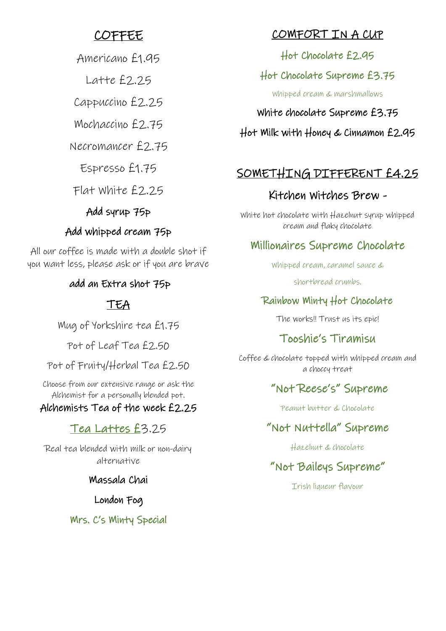# COFFEE

Americano £1.95

 $L$ atte  $f$ 2.25

Cappuccino £2.25

Mochaccino £2.75

Necromancer £2.75

Espresso £1.75

Flat White £2.25

# Add syrup 75p

# Add whipped cream 75p

All our coffee is made with a double shot if you want less, please ask or if you are brave

# add an Extra shot 75p

# TEA

Mug of Yorkshire tea £1.75

Pot of Leaf Tea £2.50

Pot of Fruity/Herbal Tea £2.50

Choose from our extensive range or ask the Alchemist for a personally blended pot.

# Alchemists Tea of the week £2.25

# Tea Lattes £3.25

Real tea blended with milk or non-dairy alternative

## Massala Chai

London Fog

Mrs. C's Minty Special

# COMFORT IN A CUP

Hot Chocolate £2.95

# Hot Chocolate Supreme £3.75

Whipped cream & marshmallows

White chocolate Supreme £3.75

Hot Milk with Honey & Cinnamon £2.95

# SOMETHING DIFFERENT £4.25

# Kitchen Witches Brew -

White hot chocolate with Hazelnut syrup whipped cream and flaky chocolate

# Millionaires Supreme Chocolate

Whipped cream, caramel sauce &

shortbread crumbs.

# Rainbow Minty Hot Chocolate

The works!! Trust us its epic!

# Tooshie's Tiramisu

Coffee & chocolate topped with whipped cream and a choccy treat

# "Not Reese's" Supreme

Peanut butter & Chocolate

# "Not Nuttella" Supreme

Hazelnut & chocolate

# "Not Baileys Supreme"

Irish liqueur flavour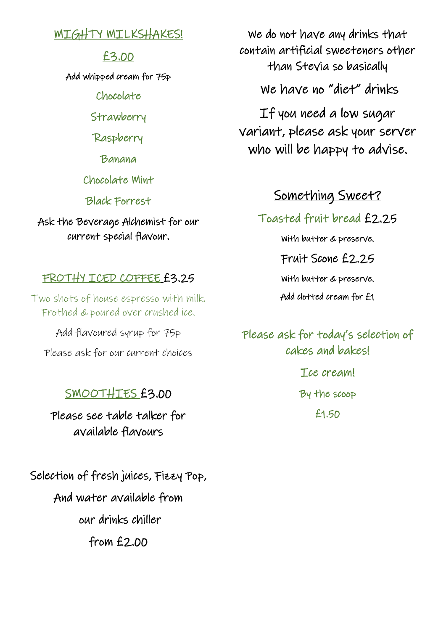## **MIGHTY MILKSHAKES!**

## £3.00

Add whipped cream for 75p

Chocolate

**Strawberry** 

Raspberry

Banana

Chocolate Mint

Black Forrest

Ask the Beverage Alchemist for our current special flavour.

## FROTHY ICED COFFEE £3.25

Two shots of house espresso with milk. Frothed & poured over crushed ice.

Add flavoured syrup for 75p Please ask for our current choices

# SMOOTHIES £3.00

Please see table talker for available flavours

Selection of fresh juices, Fizzy Pop, And water available from our drinks chiller from £2.00

We do not have any drinks that contain artificial sweeteners other than Stevia so basically

We have no "diet" drinks

If you need a low sugar variant, please ask your server who will be happy to advise.

# Something Sweet?

Toasted fruit bread £2.25

With butter & preserve.

Fruit Scone £2.25

With butter & preserve.

Add clotted cream for £1

Please ask for today's selection of cakes and bakes! Tce cream! By the scoop £1.50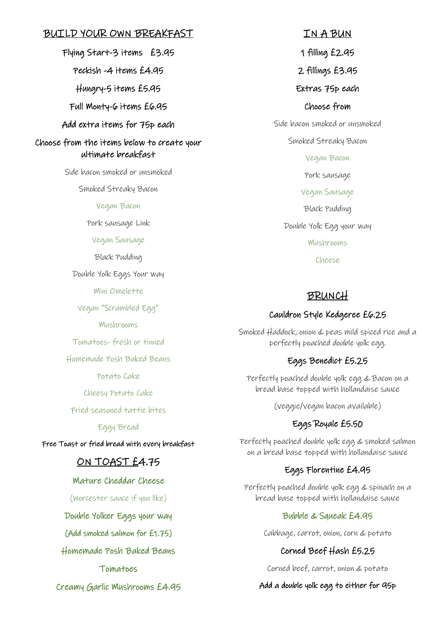### BUILD YOUR OWN BREAKFAST

Flying Start-3 items £3.95 Peckish -4 items £4.95 Hungry-5 items £5.95 Full Monty-6 items £6.95 Add extra items for 75p each Choose from the items below to create your ultimate breakfast

Side bacon smoked or unsmoked

Smoked Streaky Bacon

#### Vegan Bacon

Pork sausage Link

#### Vegan Sausage

Black Pudding

Double Yolk Eggs Your way

Mini Omelette

Vegan "Scrambled Egg"

Mushrooms

Tomatoes- fresh or tinned

Homemade Posh Baked Beans

Potato Cake

Cheesy Potato Cake

Fried seasoned tattie bites

#### Eggy Bread

Free Toast or fried bread with every breakfast

### ON TOAST £4.75

#### Mature Cheddar Cheese

(Worcester sauce if you like)

Double Yolker Eggs your way

(Add smoked salmon for £1.75)

Homemade Posh Baked Beans

Tomatoes

Creamy Garlic Mushrooms £4.95

1 filling £2.95 2 fillings £3.95 Extras 75p each Choose from Side bacon smoked or unsmoked Smoked Streaky Bacon Vegan Bacon Pork sausage Vegan Sausage Black Pudding Double Yolk Egg your way Mushrooms Cheese

IN A BUN

#### BRUNCH

#### Cauldron Style Kedgeree £6.25

Smoked Haddock, onion & peas mild spiced rice and a perfectly poached double yolk egg.

#### Eggs Benedict £5.25

Perfectly poached double yolk egg & Bacon on a bread base topped with hollandaise sauce

(veggie/vegan bacon available)

#### Eggs Royale £5.50

Perfectly poached double yolk egg & smoked salmon on a bread base topped with hollandaise sauce

#### Eggs Florentine £4.95

Perfectly poached double yolk egg & spinach on a bread base topped with hollandaise sauce

#### Bubble & Squeak £4.95

Cabbage, carrot, onion, corn & potato

#### Corned Beef Hash £5.25

Corned beef, carrot, onion & potato

#### Add a double yolk egg to either for 95p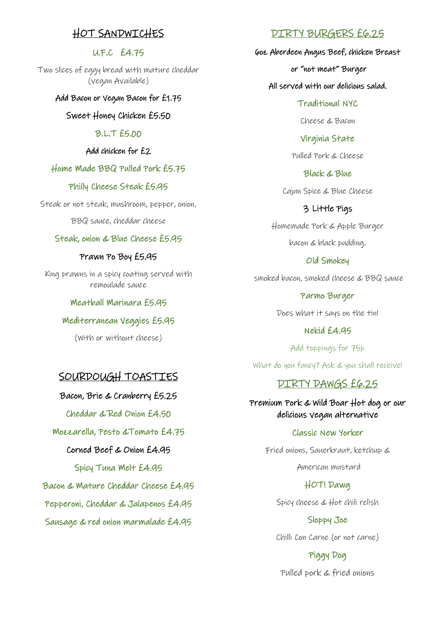### HOT SANDWICHES

### U.F.C £4.75

Two slices of eggy bread with mature cheddar (vegan Available)

#### Add Bacon or Vegan Bacon for £1.75

Sweet Honey Chicken £5.50

#### B.L.T £5.00

#### Add chicken for £2

#### Home Made BBQ Pulled Pork £5.75

#### Philly Cheese Steak £5.95

Steak or not steak, mushroom, pepper, onion,

BBQ sauce, cheddar cheese

#### Steak, onion & Blue Cheese £5.95

#### Prawn Po Boy £5.95

King prawns in a spicy coating served with remoulade sauce

#### Meatball Marinara £5.95

#### Mediterranean Veggies £5.95

(With or without cheese)

### SOURDOUGH TOASTIES

Bacon, Brie & Cranberry £5.25 Cheddar & Red Onion £4.50 Mozzarella, Pesto &Tomato £4.75 Corned Beef & Onion £4.95 Spicy Tuna Melt £4.95 Bacon & Mature Cheddar Cheese £4.95 Pepperoni, Cheddar & Jalapenos £4.95

Sausage & red onion marmalade £4.95

### DIRTY BURGERS £6.25

6oz Aberdeen Angus Beef, chicken Breast

or "not meat" Burger

#### All served with our delicious salad.

Traditional NYC

Cheese & Bacon

Virginia State

Pulled Pork & Cheese

Black & Blue

Cajun Spice & Blue Cheese

#### 3 Little Pigs

Homemade Pork & Apple Burger bacon & black pudding.

Old Smokey

smoked bacon, smoked cheese & BBQ sauce

Parmo Burger Does what it says on the tin!

Nekid £4.95

Add toppings for 75p What do you fancy? Ask & you shall receive!

### DIRTY DAWGS £6.25

Premium Pork & Wild Boar Hot dog or our delicious vegan alternative

#### Classic New Yorker

Fried onions, Sauerkraut, ketchup &

American mustard

#### HOT! Dawg

Spicy cheese & Hot chili relish

Sloppy Joe Chilli Con Carne (or not carne)

Piggy Dog

Pulled pork & fried onions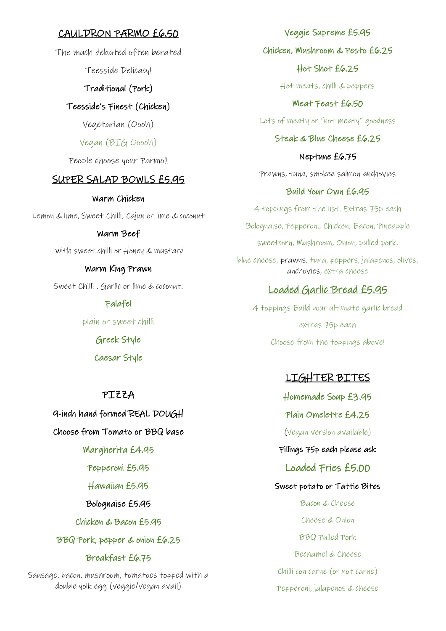### CAULDRON PARMO £6.50

The much debated often berated

Teesside Delicacy!

### Traditional (Pork)

Teesside's Finest (Chicken)

Vegetarian (Oooh)

### Vegan (BIG Ooooh)

People choose your Parmo!!

### SUPER SALAD BOWLS £5.95

#### Warm Chicken

Lemon & lime, Sweet Chilli, Cajun or lime & coconut

#### Warm Beef

with sweet chilli or Honey & mustard

#### Warm King Prawn

Sweet Chilli , Garlic or lime & coconut.

Falafel

plain or sweet chilli

Greek Style

Caesar Style

### PIZZA

9-inch hand formed REAL DOUGH

### Choose from Tomato or BBQ base

Margherita £4.95

### Pepperoni £5.95

Hawaiian £5.95

### Bolognaise £5.95

Chicken & Bacon £5.95

BBQ Pork, pepper & onion £6.25

### Breakfast £6.75

Sausage, bacon, mushroom, tomatoes topped with a double yolk egg (veggie/vegan avail)

Veggie Supreme £5.95 Chicken, Mushroom & Pesto £6.25 Hot Shot £6.25 Hot meats, chilli & peppers Meat Feast £6.50

Lots of meaty or "not meaty" goodness

### Steak & Blue Cheese £6.25

Neptune £6.75

Prawns, tuna, smoked salmon anchovies

### Build Your Own £6.95

4 toppings from the list. Extras 75p each Bolognaise, Pepperoni, Chicken, Bacon, Pineapple sweetcorn, Mushroom, Onion, pulled pork, blue cheese, prawns, tuna, peppers, jalapenos, olives, anchovies, extra cheese

### Loaded Garlic Bread £5.95

4 toppings Build your ultimate garlic bread extras 75p each Choose from the toppings above!

### LIGHTER BITES

Homemade Soup £3.95 Plain Omelette £4.25 (Vegan version available) Fillings 75p each please ask Loaded Fries £5.00 Sweet potato or Tattie Bites Bacon & Cheese Cheese & Onion BBQ Pulled Pork Bechamel & Cheese Chilli con carne (or not carne) Pepperoni, jalapenos & cheese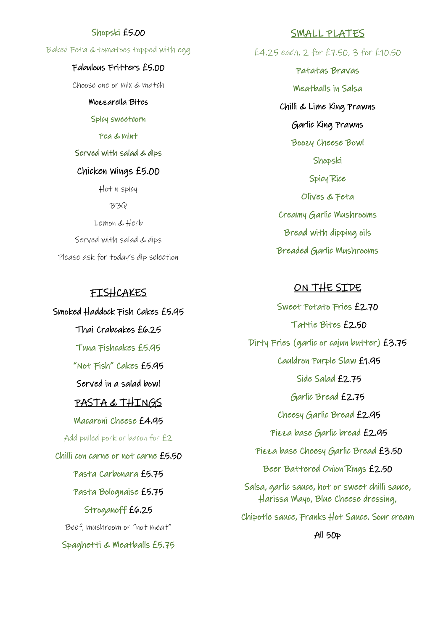#### Shopski £5.00

Baked Feta & tomatoes topped with egg

#### Fabulous Fritters £5.00

Choose one or mix & match

Mozzarella Bites

#### Spicy sweetcorn

#### Pea & mint

#### Served with salad & dips

#### Chicken Wings £5.00

Hot n spicy

BBQ

Lemon & Herb Served with salad & dips Please ask for today's dip selection

### FISHCAKES

Smoked Haddock Fish Cakes £5.95 Thai Crabcakes £6.25 Tuna Fishcakes £5.95 "Not Fish" Cakes £5.95 Served in a salad bowl PASTA & THINGS Macaroni Cheese £4.95 Add pulled pork or bacon for £2 Chilli con carne or not carne £5.50 Pasta Carbonara £5.75 Pasta Bolognaise £5.75 Stroganoff £6.25 Beef, mushroom or "not meat" Spaghetti & Meatballs £5.75

#### SMALL PLATES

£4.25 each, 2 for £7.50, 3 for £10.50

Patatas Bravas Meatballs in Salsa Chilli & Lime King Prawns Garlic King Prawns Boozy Cheese Bowl Shopski Spicy Rice Olives & Feta Creamy Garlic Mushrooms Bread with dipping oils Breaded Garlic Mushrooms

### ON THE SIDE

Sweet Potato Fries £2.70 Tattie Bites £2.50 Dirty Fries (garlic or cajun butter) £3.75 Cauldron Purple Slaw £1.95 Side Salad £2.75 Garlic Bread £2.75 Cheesy Garlic Bread £2.95 Pizza base Garlic bread £2.95 Pizza base Cheesy Garlic Bread £3.50 Beer Battered Onion Rings £2.50 Salsa, garlic sauce, hot or sweet chilli sauce, Harissa Mayo, Blue Cheese dressing, Chipotle sauce, Franks Hot Sauce. Sour cream All 50p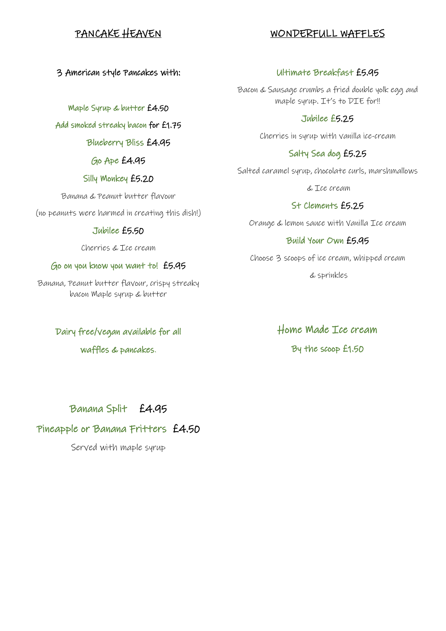### PANCAKE HEAVEN

### WONDERFULL WAFFLES

3 American style Pancakes with:

Maple Syrup & butter £4.50

Add smoked streaky bacon for £1.75

Blueberry Bliss £4.95

### Go Ape £4.95

### Silly Monkey £5.20

Banana & Peanut butter flavour

(no peanuts were harmed in creating this dish!)

### Jubilee £5.50

Cherries & Ice cream

### Go on you know you want to! £5.95

Banana, Peanut butter flavour, crispy streaky bacon Maple syrup & butter

Dairy free/vegan available for all

waffles & pancakes.

### Ultimate Breakfast £5.95

Bacon & Sausage crumbs a fried double yolk egg and maple syrup. It's to DIE for!!

### Jubilee £5.25

Cherries in syrup with vanilla ice-cream

### Salty Sea dog £5.25

Salted caramel syrup, chocolate curls, marshmallows

& Ice cream

### St Clements £5.25

Orange & lemon sauce with Vanilla Ice cream

### Build Your Own £5.95

Choose 3 scoops of ice cream, whipped cream

& sprinkles

Home Made Ice cream By the scoop £1.50

Banana Split £4.95

## Pineapple or Banana Fritters £4.50

Served with maple syrup